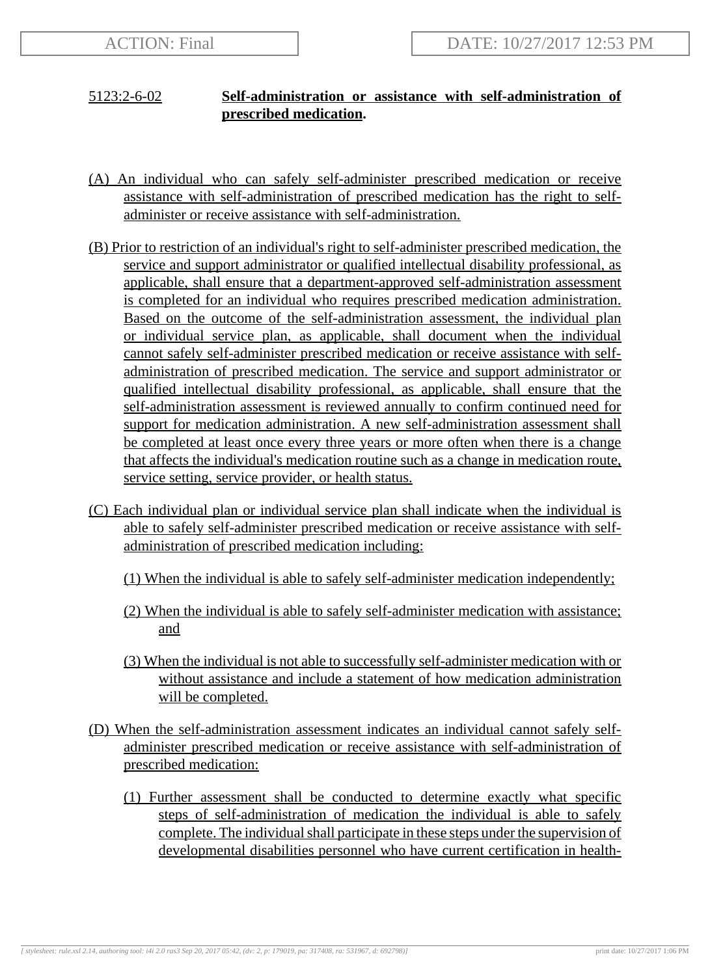## 5123:2-6-02 **Self-administration or assistance with self-administration of prescribed medication.**

- (A) An individual who can safely self-administer prescribed medication or receive assistance with self-administration of prescribed medication has the right to selfadminister or receive assistance with self-administration.
- (B) Prior to restriction of an individual's right to self-administer prescribed medication, the service and support administrator or qualified intellectual disability professional, as applicable, shall ensure that a department-approved self-administration assessment is completed for an individual who requires prescribed medication administration. Based on the outcome of the self-administration assessment, the individual plan or individual service plan, as applicable, shall document when the individual cannot safely self-administer prescribed medication or receive assistance with selfadministration of prescribed medication. The service and support administrator or qualified intellectual disability professional, as applicable, shall ensure that the self-administration assessment is reviewed annually to confirm continued need for support for medication administration. A new self-administration assessment shall be completed at least once every three years or more often when there is a change that affects the individual's medication routine such as a change in medication route, service setting, service provider, or health status.
- (C) Each individual plan or individual service plan shall indicate when the individual is able to safely self-administer prescribed medication or receive assistance with selfadministration of prescribed medication including:
	- (1) When the individual is able to safely self-administer medication independently;
	- (2) When the individual is able to safely self-administer medication with assistance; and
	- (3) When the individual is not able to successfully self-administer medication with or without assistance and include a statement of how medication administration will be completed.
- (D) When the self-administration assessment indicates an individual cannot safely selfadminister prescribed medication or receive assistance with self-administration of prescribed medication:
	- (1) Further assessment shall be conducted to determine exactly what specific steps of self-administration of medication the individual is able to safely complete. The individual shall participate in these steps under the supervision of developmental disabilities personnel who have current certification in health-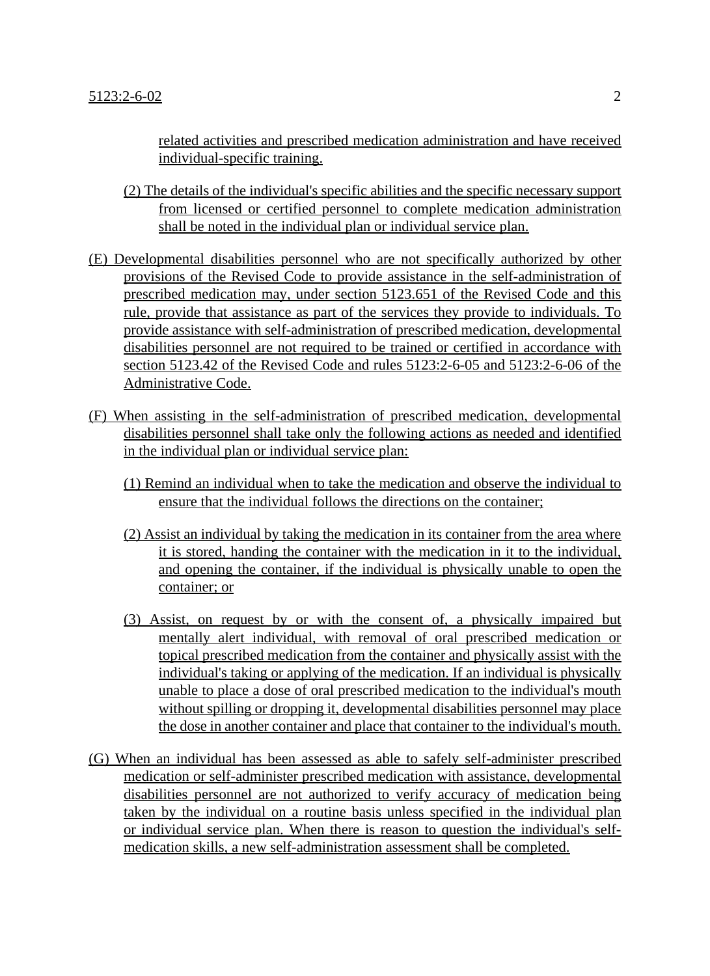related activities and prescribed medication administration and have received individual-specific training.

- (2) The details of the individual's specific abilities and the specific necessary support from licensed or certified personnel to complete medication administration shall be noted in the individual plan or individual service plan.
- (E) Developmental disabilities personnel who are not specifically authorized by other provisions of the Revised Code to provide assistance in the self-administration of prescribed medication may, under section 5123.651 of the Revised Code and this rule, provide that assistance as part of the services they provide to individuals. To provide assistance with self-administration of prescribed medication, developmental disabilities personnel are not required to be trained or certified in accordance with section 5123.42 of the Revised Code and rules 5123:2-6-05 and 5123:2-6-06 of the Administrative Code.
- (F) When assisting in the self-administration of prescribed medication, developmental disabilities personnel shall take only the following actions as needed and identified in the individual plan or individual service plan:
	- (1) Remind an individual when to take the medication and observe the individual to ensure that the individual follows the directions on the container;
	- (2) Assist an individual by taking the medication in its container from the area where it is stored, handing the container with the medication in it to the individual, and opening the container, if the individual is physically unable to open the container; or
	- (3) Assist, on request by or with the consent of, a physically impaired but mentally alert individual, with removal of oral prescribed medication or topical prescribed medication from the container and physically assist with the individual's taking or applying of the medication. If an individual is physically unable to place a dose of oral prescribed medication to the individual's mouth without spilling or dropping it, developmental disabilities personnel may place the dose in another container and place that container to the individual's mouth.
- (G) When an individual has been assessed as able to safely self-administer prescribed medication or self-administer prescribed medication with assistance, developmental disabilities personnel are not authorized to verify accuracy of medication being taken by the individual on a routine basis unless specified in the individual plan or individual service plan. When there is reason to question the individual's selfmedication skills, a new self-administration assessment shall be completed.